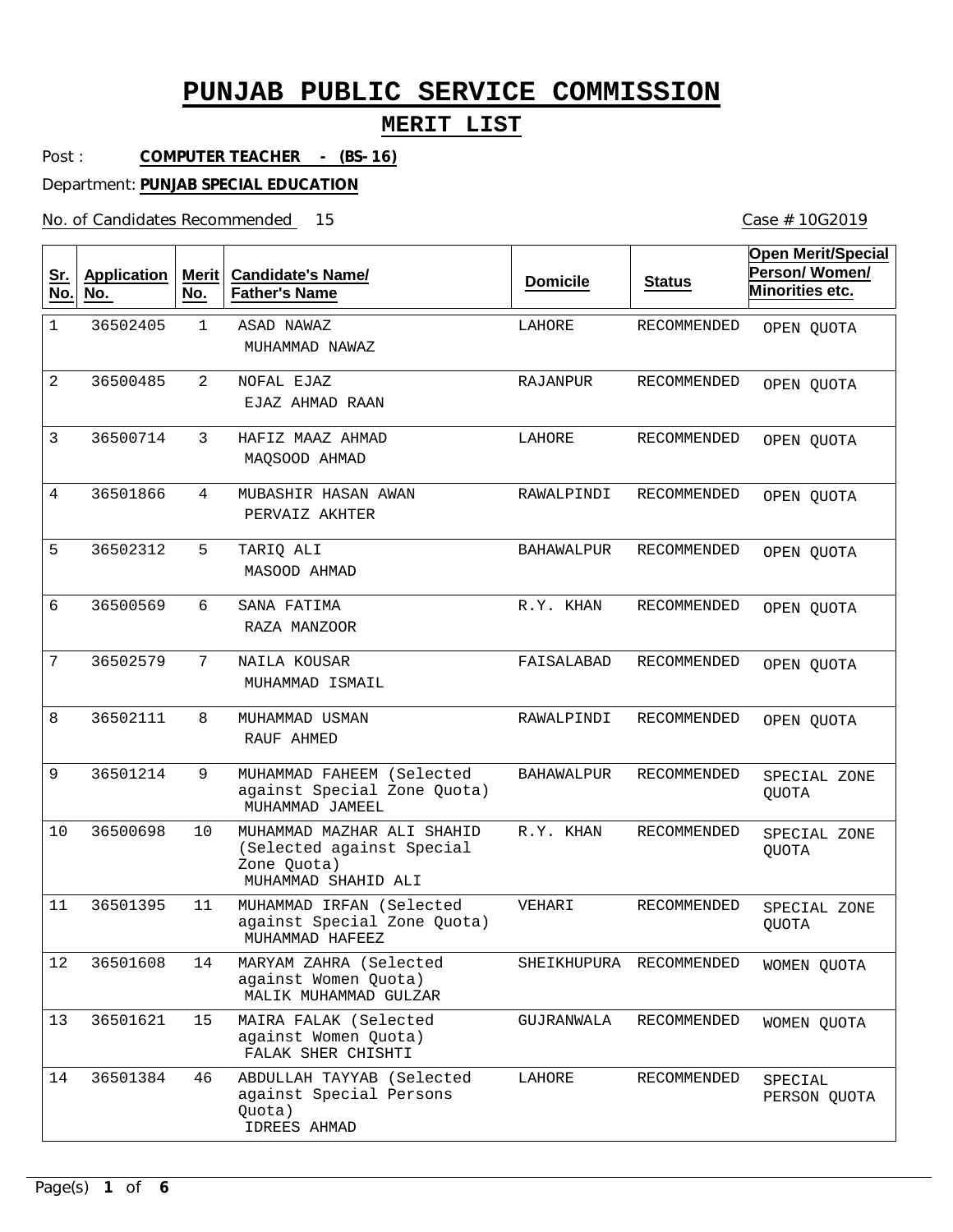### **MERIT LIST**

Post : **COMPUTER TEACHER - (BS-16)**

Department: **PUNJAB SPECIAL EDUCATION**

No. of Candidates Recommended 15

| <u>Sr.</u><br>No. | <b>Application</b><br>No. | Merit<br>No. | <b>Candidate's Name/</b><br><b>Father's Name</b>                                              | <b>Domicile</b>   | <b>Status</b>           | <b>Open Merit/Special</b><br>Person/Women/<br>Minorities etc. |
|-------------------|---------------------------|--------------|-----------------------------------------------------------------------------------------------|-------------------|-------------------------|---------------------------------------------------------------|
| 1                 | 36502405                  | $\mathbf{1}$ | ASAD NAWAZ<br>MUHAMMAD NAWAZ                                                                  | LAHORE            | <b>RECOMMENDED</b>      | OPEN QUOTA                                                    |
| 2                 | 36500485                  | 2            | NOFAL EJAZ<br>EJAZ AHMAD RAAN                                                                 | RAJANPUR          | RECOMMENDED             | OPEN QUOTA                                                    |
| 3                 | 36500714                  | 3            | HAFIZ MAAZ AHMAD<br>MAQSOOD AHMAD                                                             | LAHORE            | <b>RECOMMENDED</b>      | OPEN QUOTA                                                    |
| 4                 | 36501866                  | 4            | MUBASHIR HASAN AWAN<br>PERVAIZ AKHTER                                                         | RAWALPINDI        | <b>RECOMMENDED</b>      | OPEN QUOTA                                                    |
| 5                 | 36502312                  | 5            | TARIO ALI<br>MASOOD AHMAD                                                                     | <b>BAHAWALPUR</b> | RECOMMENDED             | OPEN QUOTA                                                    |
| 6                 | 36500569                  | 6            | SANA FATIMA<br>RAZA MANZOOR                                                                   | R.Y. KHAN         | <b>RECOMMENDED</b>      | OPEN QUOTA                                                    |
| 7                 | 36502579                  | 7            | NAILA KOUSAR<br>MUHAMMAD ISMAIL                                                               | FAISALABAD        | <b>RECOMMENDED</b>      | OPEN QUOTA                                                    |
| 8                 | 36502111                  | 8            | MUHAMMAD USMAN<br>RAUF AHMED                                                                  | RAWALPINDI        | RECOMMENDED             | OPEN QUOTA                                                    |
| 9                 | 36501214                  | 9            | MUHAMMAD FAHEEM (Selected<br>against Special Zone Quota)<br>MUHAMMAD JAMEEL                   | <b>BAHAWALPUR</b> | RECOMMENDED             | SPECIAL ZONE<br><b>QUOTA</b>                                  |
| 10                | 36500698                  | 10           | MUHAMMAD MAZHAR ALI SHAHID<br>(Selected against Special<br>Zone Quota)<br>MUHAMMAD SHAHID ALI | R.Y. KHAN         | RECOMMENDED             | SPECIAL ZONE<br><b>QUOTA</b>                                  |
| 11                | 36501395                  | 11           | MUHAMMAD IRFAN (Selected<br>against Special Zone Quota)<br>MUHAMMAD HAFEEZ                    | VEHARI            | RECOMMENDED             | SPECIAL ZONE<br><b>QUOTA</b>                                  |
| 12                | 36501608                  | 14           | MARYAM ZAHRA (Selected<br>against Women Quota)<br>MALIK MUHAMMAD GULZAR                       |                   | SHEIKHUPURA RECOMMENDED | WOMEN QUOTA                                                   |
| 13                | 36501621                  | 15           | MAIRA FALAK (Selected<br>against Women Quota)<br>FALAK SHER CHISHTI                           | GUJRANWALA        | RECOMMENDED             | WOMEN QUOTA                                                   |
| 14                | 36501384                  | 46           | ABDULLAH TAYYAB (Selected<br>against Special Persons<br>Quota)<br>IDREES AHMAD                | LAHORE            | RECOMMENDED             | SPECIAL<br>PERSON QUOTA                                       |

Case # 10G2019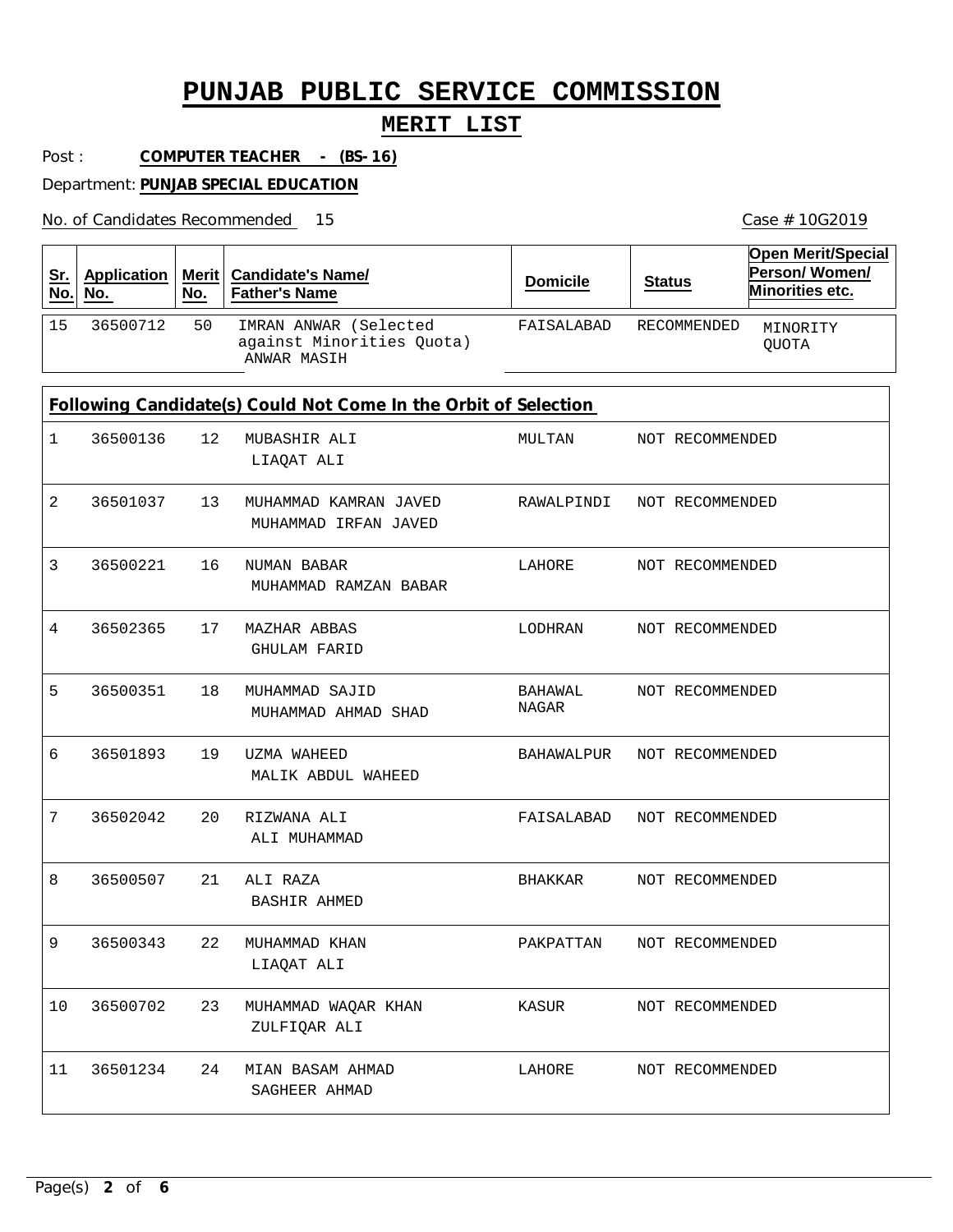#### **MERIT LIST**

Post : **COMPUTER TEACHER - (BS-16)**

Department: **PUNJAB SPECIAL EDUCATION**

No. of Candidates Recommended

| <u>Sr.</u><br>No. | <b>Application</b><br>No.                                       | <b>Merit</b><br>No. | <b>Candidate's Name/</b><br><b>Father's Name</b>                  | <b>Domicile</b>  | <b>Status</b>   | <b>Open Merit/Special</b><br>Person/Women/<br>Minorities etc. |  |  |
|-------------------|-----------------------------------------------------------------|---------------------|-------------------------------------------------------------------|------------------|-----------------|---------------------------------------------------------------|--|--|
| 15                | 36500712                                                        | 50                  | IMRAN ANWAR (Selected<br>against Minorities Quota)<br>ANWAR MASIH | FAISALABAD       | RECOMMENDED     | MINORITY<br><b>QUOTA</b>                                      |  |  |
|                   | Following Candidate(s) Could Not Come In the Orbit of Selection |                     |                                                                   |                  |                 |                                                               |  |  |
| 1                 | 36500136                                                        | 12                  | MUBASHIR ALI<br>LIAQAT ALI                                        | MULTAN           | NOT RECOMMENDED |                                                               |  |  |
| 2                 | 36501037                                                        | 13                  | MUHAMMAD KAMRAN JAVED<br>MUHAMMAD IRFAN JAVED                     | RAWALPINDI       | NOT RECOMMENDED |                                                               |  |  |
| 3                 | 36500221                                                        | 16                  | NUMAN BABAR<br>MUHAMMAD RAMZAN BABAR                              | LAHORE           | NOT RECOMMENDED |                                                               |  |  |
| 4                 | 36502365                                                        | 17                  | MAZHAR ABBAS<br><b>GHULAM FARID</b>                               | LODHRAN          | NOT RECOMMENDED |                                                               |  |  |
| 5                 | 36500351                                                        | 18                  | MUHAMMAD SAJID<br>MUHAMMAD AHMAD SHAD                             | BAHAWAL<br>NAGAR | NOT RECOMMENDED |                                                               |  |  |
| 6                 | 36501893                                                        | 19                  | UZMA WAHEED<br>MALIK ABDUL WAHEED                                 | BAHAWALPUR       | NOT RECOMMENDED |                                                               |  |  |
| 7                 | 36502042                                                        | 20                  | RIZWANA ALI<br>ALI MUHAMMAD                                       | FAISALABAD       | NOT RECOMMENDED |                                                               |  |  |
| 8                 | 36500507                                                        | 21                  | ALI RAZA<br><b>BASHIR AHMED</b>                                   | BHAKKAR          | NOT RECOMMENDED |                                                               |  |  |
| Q                 | 36500343                                                        | 22                  | MUHAMMAD KHAN<br>LIAQAT ALI                                       | PAKPATTAN        | NOT RECOMMENDED |                                                               |  |  |
| 10                | 36500702                                                        | 23                  | MUHAMMAD WAQAR KHAN<br>ZULFIQAR ALI                               | KASUR            | NOT RECOMMENDED |                                                               |  |  |
| 11                | 36501234                                                        | 24                  | MIAN BASAM AHMAD<br>SAGHEER AHMAD                                 | LAHORE           | NOT RECOMMENDED |                                                               |  |  |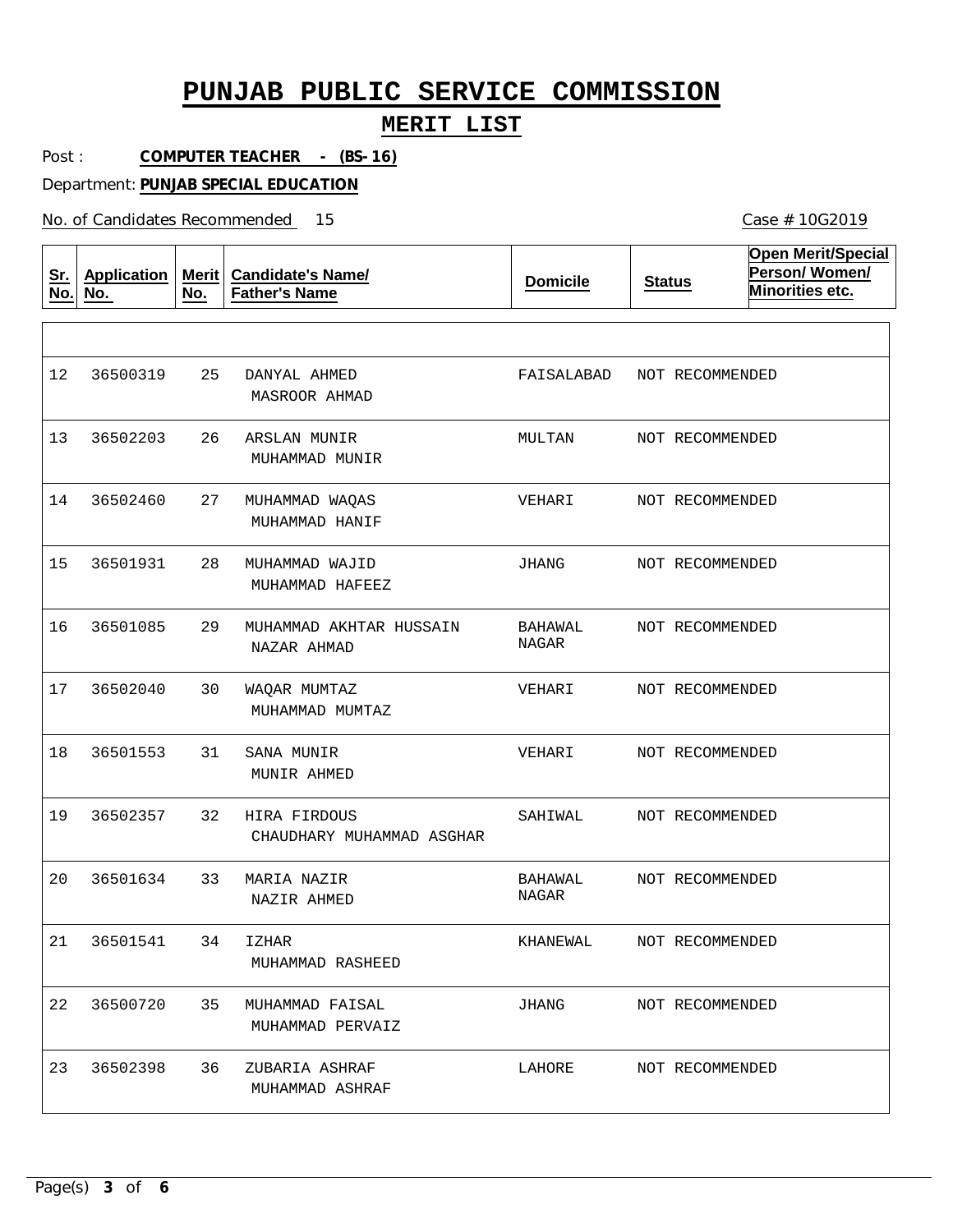#### **MERIT LIST**

Post : **COMPUTER TEACHER - (BS-16)**

Department: **PUNJAB SPECIAL EDUCATION**

No. of Candidates Recommended

**Sr. No. Application No. Merit No. Candidate's Name/ Father's Name Domicile Status Open Merit/Special Person/ Women/ Minorities etc.** 25 26 27 28 29 30 31 32 33 34 35 36 DANYAL AHMED ARSLAN MUNIR MUHAMMAD WAQAS MUHAMMAD WAJID MUHAMMAD AKHTAR HUSSAIN WAQAR MUMTAZ SANA MUNIR HIRA FIRDOUS MARIA NAZIR IZHAR MUHAMMAD FAISAL ZUBARIA ASHRAF MASROOR AHMAD MUHAMMAD MUNIR MUHAMMAD HANIF MUHAMMAD HAFEEZ NAZAR AHMAD MUHAMMAD MUMTAZ MUNIR AHMED CHAUDHARY MUHAMMAD ASGHAR NAZIR AHMED MUHAMMAD RASHEED MUHAMMAD PERVAIZ MUHAMMAD ASHRAF 12 13 14 15 16 17 18 19 20 21 22 23 36500319 36502203 36502460 36501931 36501085 36502040 36501553 36502357 36501634 36501541 36500720 36502398 FAISALABAD MULTAN VEHARI JHANG BAHAWAL NAGAR VEHARI VEHARI SAHIWAL BAHAWAL NAGAR KHANEWAL JHANG LAHORE NOT RECOMMENDED NOT RECOMMENDED NOT RECOMMENDED NOT RECOMMENDED NOT RECOMMENDED NOT RECOMMENDED NOT RECOMMENDED NOT RECOMMENDED NOT RECOMMENDED NOT RECOMMENDED NOT RECOMMENDED NOT RECOMMENDED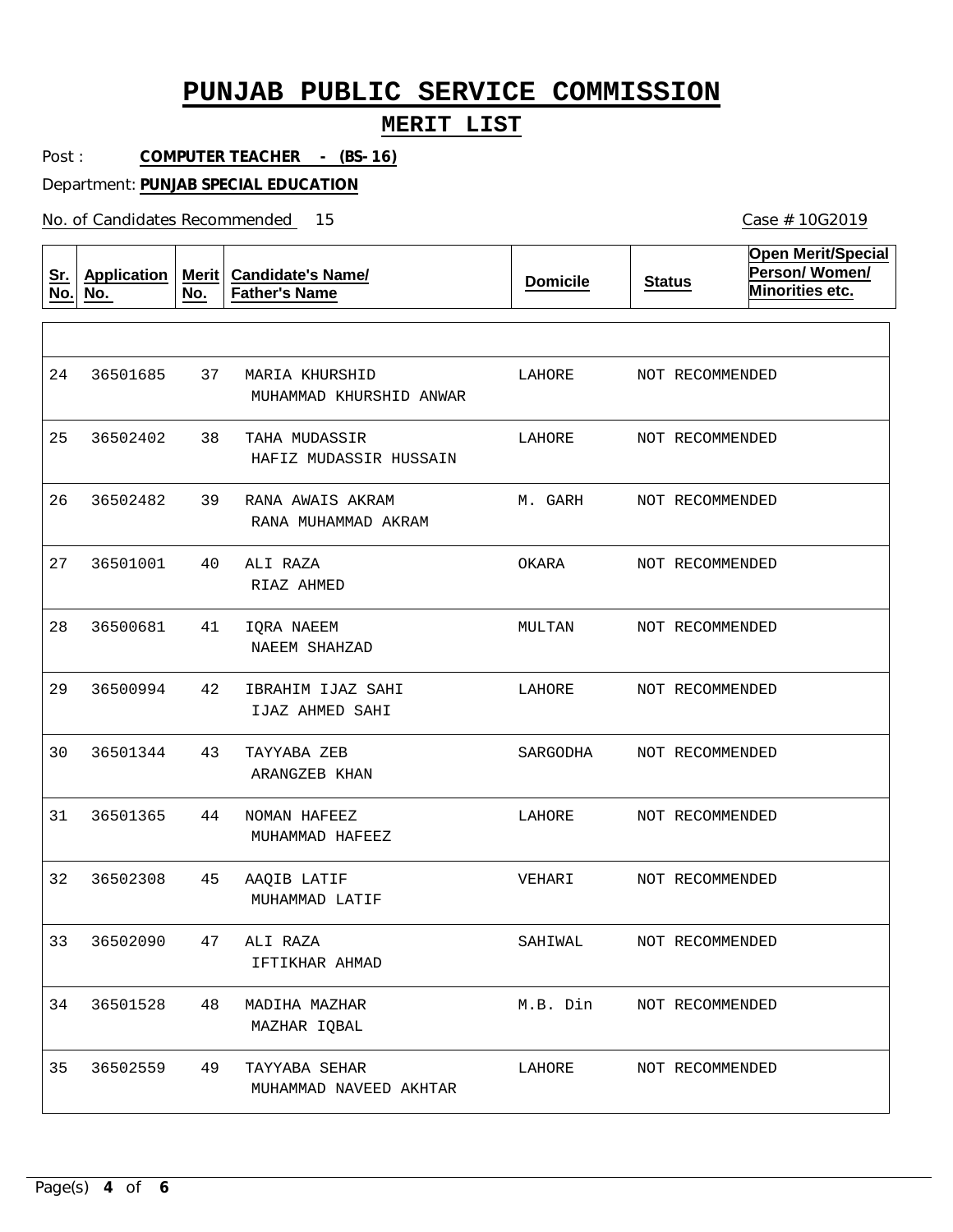#### **MERIT LIST**

Post : **COMPUTER TEACHER - (BS-16)**

Department: **PUNJAB SPECIAL EDUCATION**

No. of Candidates Recommended

**Sr. No. Application No. Merit No. Candidate's Name/ Father's Name Domicile Status Open Merit/Special Person/ Women/ Minorities etc.** 37 38 TAHA MUDASSIR 39 40 41 42 43 44 45 47 48 49 MARIA KHURSHID RANA AWAIS AKRAM ALI RAZA IQRA NAEEM IBRAHIM IJAZ SAHI TAYYABA ZEB NOMAN HAFEEZ AAQIB LATIF ALI RAZA MADIHA MAZHAR TAYYABA SEHAR MUHAMMAD KHURSHID ANWAR HAFIZ MUDASSIR HUSSAIN RANA MUHAMMAD AKRAM RIAZ AHMED NAEEM SHAHZAD IJAZ AHMED SAHI ARANGZEB KHAN MUHAMMAD HAFEEZ MUHAMMAD LATIF IFTIKHAR AHMAD MAZHAR IQBAL MUHAMMAD NAVEED AKHTAR 24 25 26 27 28 29 30 31 32 33 34 35 36501685 36502402 36502482 36501001 36500681 36500994 36501344 36501365 36502308 36502090 36501528 36502559 LAHORE LAHORE M. GARH OKARA MULTAN LAHORE SARGODHA LAHORE VEHARI SAHIWAL M.B. Din LAHORE NOT RECOMMENDED NOT RECOMMENDED NOT RECOMMENDED NOT RECOMMENDED NOT RECOMMENDED NOT RECOMMENDED NOT RECOMMENDED NOT RECOMMENDED NOT RECOMMENDED NOT RECOMMENDED NOT RECOMMENDED NOT RECOMMENDED

Case # 10G2019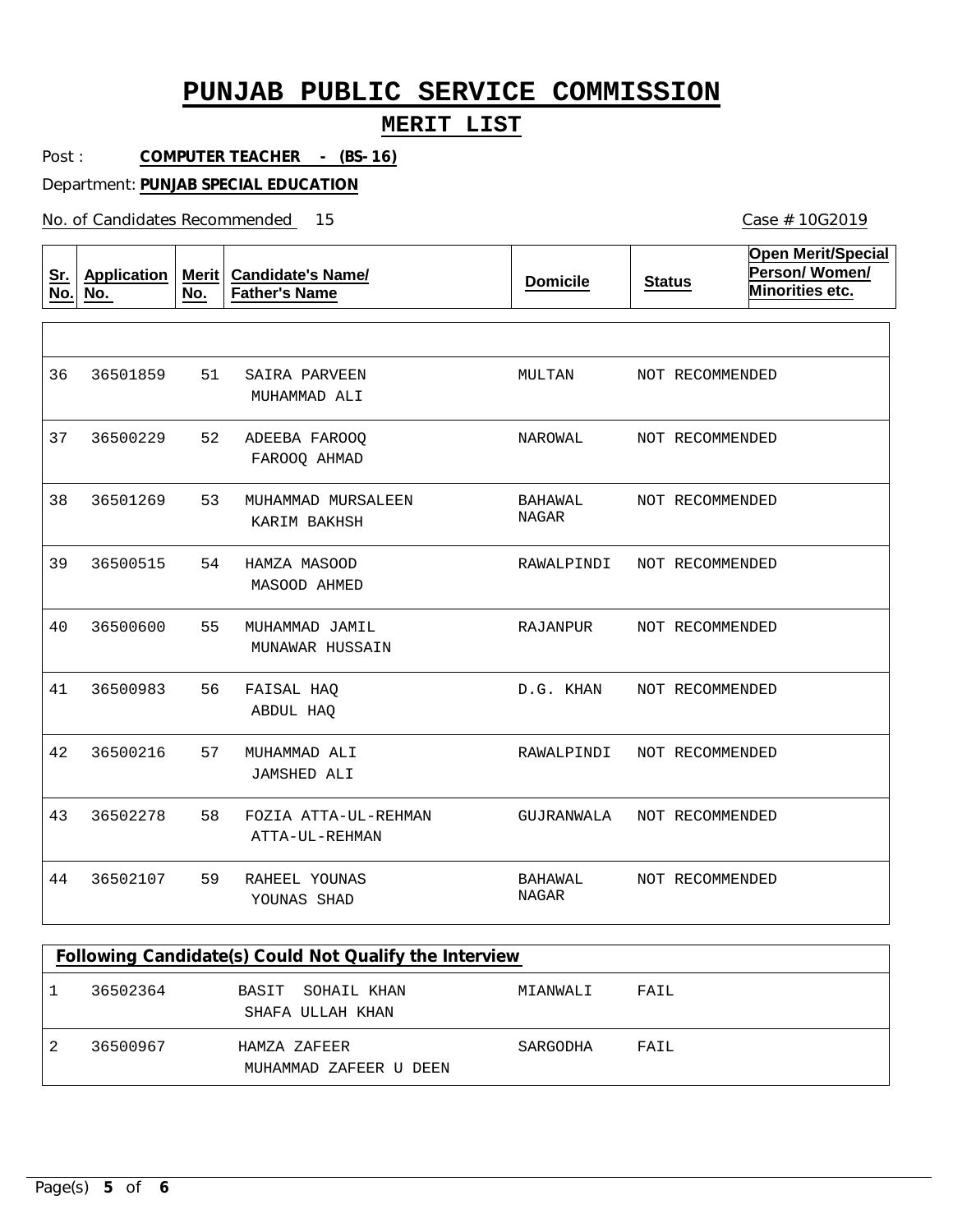### **MERIT LIST**

Post : **COMPUTER TEACHER - (BS-16)**

Department: **PUNJAB SPECIAL EDUCATION**

No. of Candidates Recommended

| <u>Sr.</u><br>No. | <b>Application</b><br>No. | Merit<br>No. | <b>Candidate's Name/</b><br><b>Father's Name</b> | <b>Domicile</b>         | <b>Status</b>   | <b>Open Merit/Special</b><br>Person/Women/<br>Minorities etc. |
|-------------------|---------------------------|--------------|--------------------------------------------------|-------------------------|-----------------|---------------------------------------------------------------|
|                   |                           |              |                                                  |                         |                 |                                                               |
| 36                | 36501859                  | 51           | SAIRA PARVEEN<br>MUHAMMAD ALI                    | MULTAN                  | NOT RECOMMENDED |                                                               |
| 37                | 36500229                  | 52           | ADEEBA FAROOO<br>FAROOQ AHMAD                    | NAROWAL                 | NOT RECOMMENDED |                                                               |
| 38                | 36501269                  | 53           | MUHAMMAD MURSALEEN<br>KARIM BAKHSH               | BAHAWAL<br>NAGAR        | NOT RECOMMENDED |                                                               |
| 39                | 36500515                  | 54           | HAMZA MASOOD<br>MASOOD AHMED                     | RAWALPINDI              | NOT RECOMMENDED |                                                               |
| 40                | 36500600                  | 55           | MUHAMMAD JAMIL<br>MUNAWAR HUSSAIN                | RAJANPUR                | NOT RECOMMENDED |                                                               |
| 41                | 36500983                  | 56           | FAISAL HAQ<br>ABDUL HAO                          | D.G. KHAN               | NOT RECOMMENDED |                                                               |
| 42                | 36500216                  | 57           | MUHAMMAD ALI<br>JAMSHED ALI                      | RAWALPINDI              | NOT RECOMMENDED |                                                               |
| 43                | 36502278                  | 58           | FOZIA ATTA-UL-REHMAN<br>ATTA-UL-REHMAN           | GUJRANWALA              | NOT RECOMMENDED |                                                               |
| 44                | 36502107                  | 59           | RAHEEL YOUNAS<br>YOUNAS SHAD                     | BAHAWAL<br><b>NAGAR</b> | NOT RECOMMENDED |                                                               |

| Following Candidate(s) Could Not Qualify the Interview |                                          |          |      |  |  |  |  |  |
|--------------------------------------------------------|------------------------------------------|----------|------|--|--|--|--|--|
| 36502364                                               | SOHAIL KHAN<br>BASIT<br>SHAFA ULLAH KHAN | MIANWALI | FAIL |  |  |  |  |  |
| 36500967                                               | HAMZA ZAFEER<br>MUHAMMAD ZAFEER U DEEN   | SARGODHA | FAIL |  |  |  |  |  |

Case # 10G2019